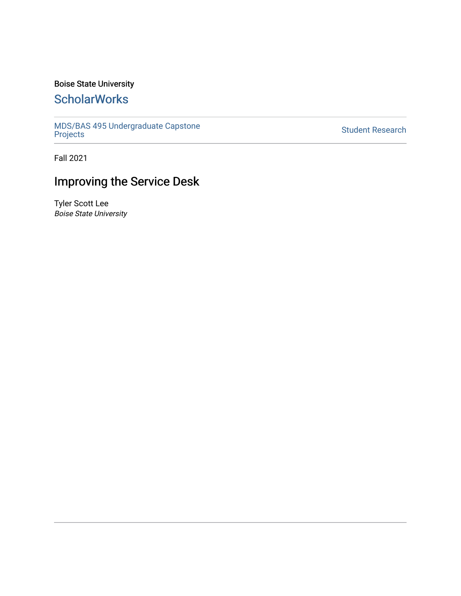## Boise State University

## **ScholarWorks**

[MDS/BAS 495 Undergraduate Capstone](https://scholarworks.boisestate.edu/mds495_proj)  [Projects](https://scholarworks.boisestate.edu/mds495_proj) [Student Research](https://scholarworks.boisestate.edu/student_research) 

Fall 2021

## Improving the Service Desk

Tyler Scott Lee Boise State University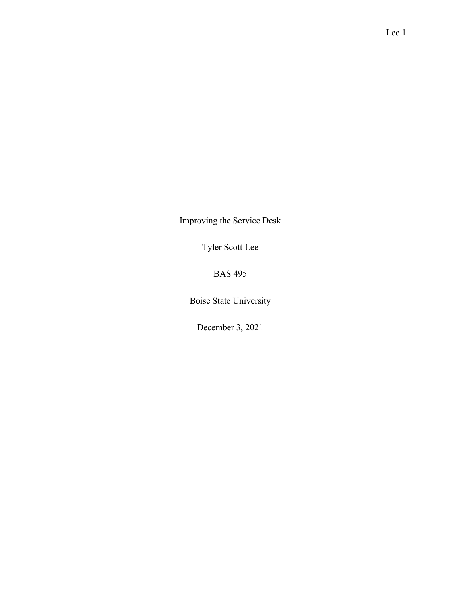Improving the Service Desk

Tyler Scott Lee

BAS 495

Boise State University

December 3, 2021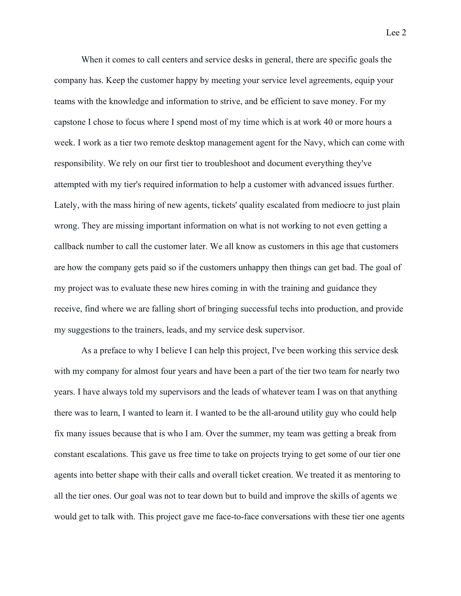When it comes to call centers and service desks in general, there are specific goals the company has. Keep the customer happy by meeting your service level agreements, equip your teams with the knowledge and information to strive, and be efficient to save money. For my capstone I chose to focus where I spend most of my time which is at work 40 or more hours a week. I work as a tier two remote desktop management agent for the Navy, which can come with responsibility. We rely on our first tier to troubleshoot and document everything they've attempted with my tier's required information to help a customer with advanced issues further. Lately, with the mass hiring of new agents, tickets' quality escalated from mediocre to just plain wrong. They are missing important information on what is not working to not even getting a callback number to call the customer later. We all know as customers in this age that customers are how the company gets paid so if the customers unhappy then things can get bad. The goal of my project was to evaluate these new hires coming in with the training and guidance they receive, find where we are falling short of bringing successful techs into production, and provide my suggestions to the trainers, leads, and my service desk supervisor.

 As a preface to why I believe I can help this project, I've been working this service desk with my company for almost four years and have been a part of the tier two team for nearly two years. I have always told my supervisors and the leads of whatever team I was on that anything there was to learn, I wanted to learn it. I wanted to be the all-around utility guy who could help fix many issues because that is who I am. Over the summer, my team was getting a break from constant escalations. This gave us free time to take on projects trying to get some of our tier one agents into better shape with their calls and overall ticket creation. We treated it as mentoring to all the tier ones. Our goal was not to tear down but to build and improve the skills of agents we would get to talk with. This project gave me face-to-face conversations with these tier one agents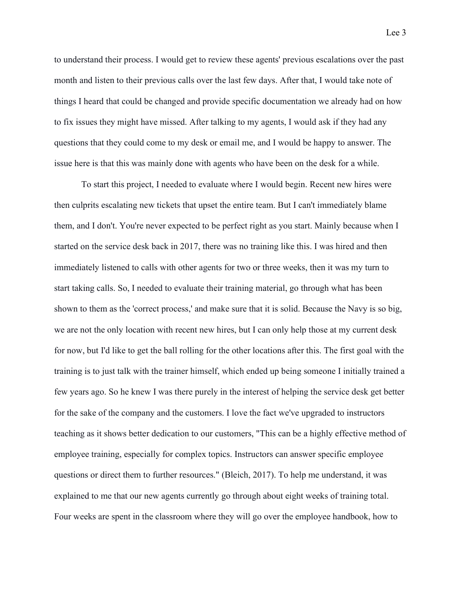to understand their process. I would get to review these agents' previous escalations over the past month and listen to their previous calls over the last few days. After that, I would take note of things I heard that could be changed and provide specific documentation we already had on how to fix issues they might have missed. After talking to my agents, I would ask if they had any questions that they could come to my desk or email me, and I would be happy to answer. The issue here is that this was mainly done with agents who have been on the desk for a while.

 To start this project, I needed to evaluate where I would begin. Recent new hires were then culprits escalating new tickets that upset the entire team. But I can't immediately blame them, and I don't. You're never expected to be perfect right as you start. Mainly because when I started on the service desk back in 2017, there was no training like this. I was hired and then immediately listened to calls with other agents for two or three weeks, then it was my turn to start taking calls. So, I needed to evaluate their training material, go through what has been shown to them as the 'correct process,' and make sure that it is solid. Because the Navy is so big, we are not the only location with recent new hires, but I can only help those at my current desk for now, but I'd like to get the ball rolling for the other locations after this. The first goal with the training is to just talk with the trainer himself, which ended up being someone I initially trained a few years ago. So he knew I was there purely in the interest of helping the service desk get better for the sake of the company and the customers. I love the fact we've upgraded to instructors teaching as it shows better dedication to our customers, "This can be a highly effective method of employee training, especially for complex topics. Instructors can answer specific employee questions or direct them to further resources." (Bleich, 2017). To help me understand, it was explained to me that our new agents currently go through about eight weeks of training total. Four weeks are spent in the classroom where they will go over the employee handbook, how to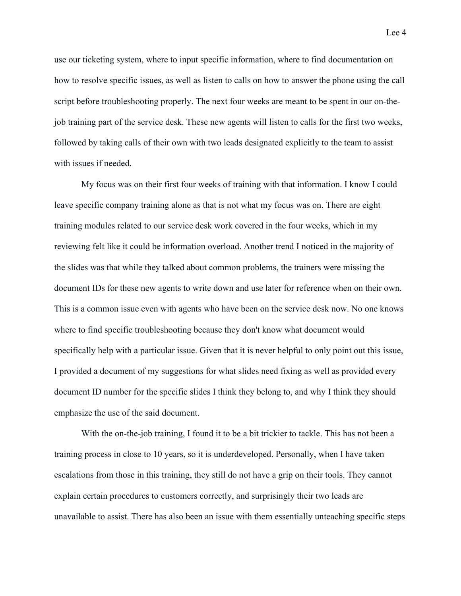use our ticketing system, where to input specific information, where to find documentation on how to resolve specific issues, as well as listen to calls on how to answer the phone using the call script before troubleshooting properly. The next four weeks are meant to be spent in our on-thejob training part of the service desk. These new agents will listen to calls for the first two weeks, followed by taking calls of their own with two leads designated explicitly to the team to assist with issues if needed.

 My focus was on their first four weeks of training with that information. I know I could leave specific company training alone as that is not what my focus was on. There are eight training modules related to our service desk work covered in the four weeks, which in my reviewing felt like it could be information overload. Another trend I noticed in the majority of the slides was that while they talked about common problems, the trainers were missing the document IDs for these new agents to write down and use later for reference when on their own. This is a common issue even with agents who have been on the service desk now. No one knows where to find specific troubleshooting because they don't know what document would specifically help with a particular issue. Given that it is never helpful to only point out this issue, I provided a document of my suggestions for what slides need fixing as well as provided every document ID number for the specific slides I think they belong to, and why I think they should emphasize the use of the said document.

With the on-the-job training, I found it to be a bit trickier to tackle. This has not been a training process in close to 10 years, so it is underdeveloped. Personally, when I have taken escalations from those in this training, they still do not have a grip on their tools. They cannot explain certain procedures to customers correctly, and surprisingly their two leads are unavailable to assist. There has also been an issue with them essentially unteaching specific steps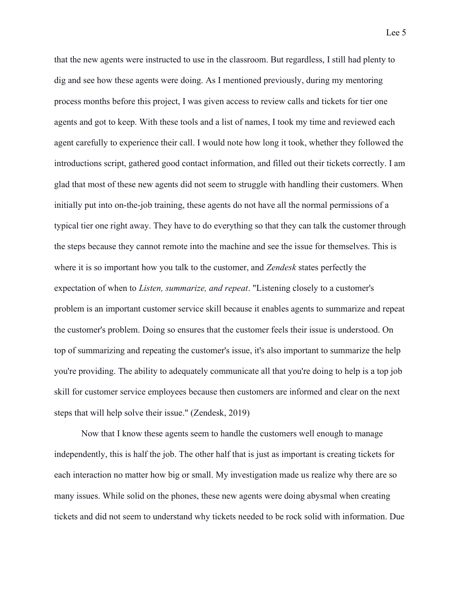that the new agents were instructed to use in the classroom. But regardless, I still had plenty to dig and see how these agents were doing. As I mentioned previously, during my mentoring process months before this project, I was given access to review calls and tickets for tier one agents and got to keep. With these tools and a list of names, I took my time and reviewed each agent carefully to experience their call. I would note how long it took, whether they followed the introductions script, gathered good contact information, and filled out their tickets correctly. I am glad that most of these new agents did not seem to struggle with handling their customers. When initially put into on-the-job training, these agents do not have all the normal permissions of a typical tier one right away. They have to do everything so that they can talk the customer through the steps because they cannot remote into the machine and see the issue for themselves. This is where it is so important how you talk to the customer, and Zendesk states perfectly the expectation of when to *Listen, summarize, and repeat*. "Listening closely to a customer's problem is an important customer service skill because it enables agents to summarize and repeat the customer's problem. Doing so ensures that the customer feels their issue is understood. On top of summarizing and repeating the customer's issue, it's also important to summarize the help you're providing. The ability to adequately communicate all that you're doing to help is a top job skill for customer service employees because then customers are informed and clear on the next steps that will help solve their issue." (Zendesk, 2019)

 Now that I know these agents seem to handle the customers well enough to manage independently, this is half the job. The other half that is just as important is creating tickets for each interaction no matter how big or small. My investigation made us realize why there are so many issues. While solid on the phones, these new agents were doing abysmal when creating tickets and did not seem to understand why tickets needed to be rock solid with information. Due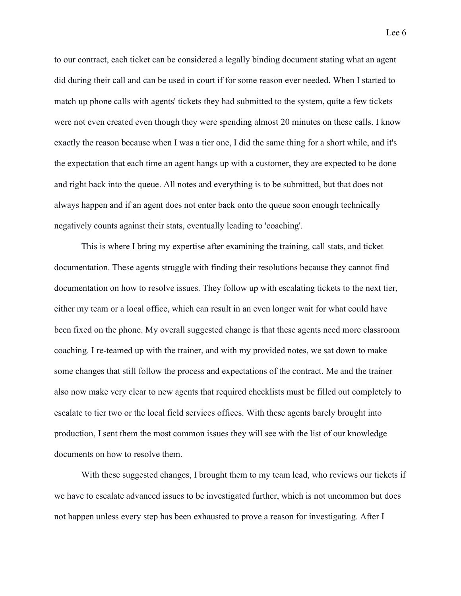to our contract, each ticket can be considered a legally binding document stating what an agent did during their call and can be used in court if for some reason ever needed. When I started to match up phone calls with agents' tickets they had submitted to the system, quite a few tickets were not even created even though they were spending almost 20 minutes on these calls. I know exactly the reason because when I was a tier one, I did the same thing for a short while, and it's the expectation that each time an agent hangs up with a customer, they are expected to be done and right back into the queue. All notes and everything is to be submitted, but that does not always happen and if an agent does not enter back onto the queue soon enough technically negatively counts against their stats, eventually leading to 'coaching'.

 This is where I bring my expertise after examining the training, call stats, and ticket documentation. These agents struggle with finding their resolutions because they cannot find documentation on how to resolve issues. They follow up with escalating tickets to the next tier, either my team or a local office, which can result in an even longer wait for what could have been fixed on the phone. My overall suggested change is that these agents need more classroom coaching. I re-teamed up with the trainer, and with my provided notes, we sat down to make some changes that still follow the process and expectations of the contract. Me and the trainer also now make very clear to new agents that required checklists must be filled out completely to escalate to tier two or the local field services offices. With these agents barely brought into production, I sent them the most common issues they will see with the list of our knowledge documents on how to resolve them.

 With these suggested changes, I brought them to my team lead, who reviews our tickets if we have to escalate advanced issues to be investigated further, which is not uncommon but does not happen unless every step has been exhausted to prove a reason for investigating. After I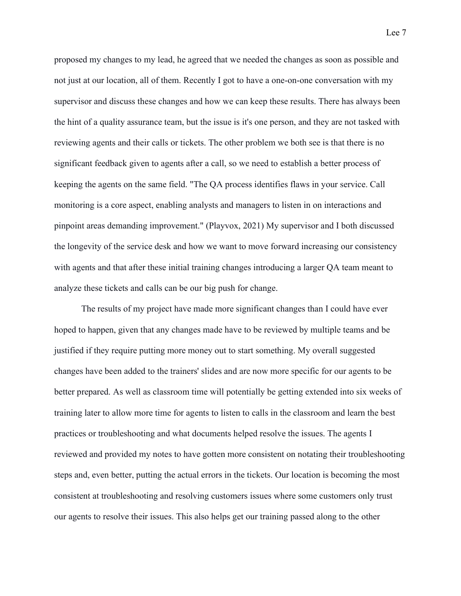proposed my changes to my lead, he agreed that we needed the changes as soon as possible and not just at our location, all of them. Recently I got to have a one-on-one conversation with my supervisor and discuss these changes and how we can keep these results. There has always been the hint of a quality assurance team, but the issue is it's one person, and they are not tasked with reviewing agents and their calls or tickets. The other problem we both see is that there is no significant feedback given to agents after a call, so we need to establish a better process of keeping the agents on the same field. "The QA process identifies flaws in your service. Call monitoring is a core aspect, enabling analysts and managers to listen in on interactions and pinpoint areas demanding improvement." (Playvox, 2021) My supervisor and I both discussed the longevity of the service desk and how we want to move forward increasing our consistency with agents and that after these initial training changes introducing a larger QA team meant to analyze these tickets and calls can be our big push for change.

 The results of my project have made more significant changes than I could have ever hoped to happen, given that any changes made have to be reviewed by multiple teams and be justified if they require putting more money out to start something. My overall suggested changes have been added to the trainers' slides and are now more specific for our agents to be better prepared. As well as classroom time will potentially be getting extended into six weeks of training later to allow more time for agents to listen to calls in the classroom and learn the best practices or troubleshooting and what documents helped resolve the issues. The agents I reviewed and provided my notes to have gotten more consistent on notating their troubleshooting steps and, even better, putting the actual errors in the tickets. Our location is becoming the most consistent at troubleshooting and resolving customers issues where some customers only trust our agents to resolve their issues. This also helps get our training passed along to the other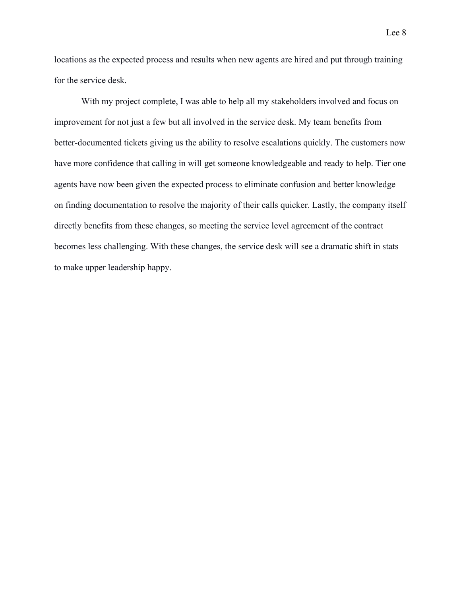locations as the expected process and results when new agents are hired and put through training for the service desk.

 With my project complete, I was able to help all my stakeholders involved and focus on improvement for not just a few but all involved in the service desk. My team benefits from better-documented tickets giving us the ability to resolve escalations quickly. The customers now have more confidence that calling in will get someone knowledgeable and ready to help. Tier one agents have now been given the expected process to eliminate confusion and better knowledge on finding documentation to resolve the majority of their calls quicker. Lastly, the company itself directly benefits from these changes, so meeting the service level agreement of the contract becomes less challenging. With these changes, the service desk will see a dramatic shift in stats to make upper leadership happy.